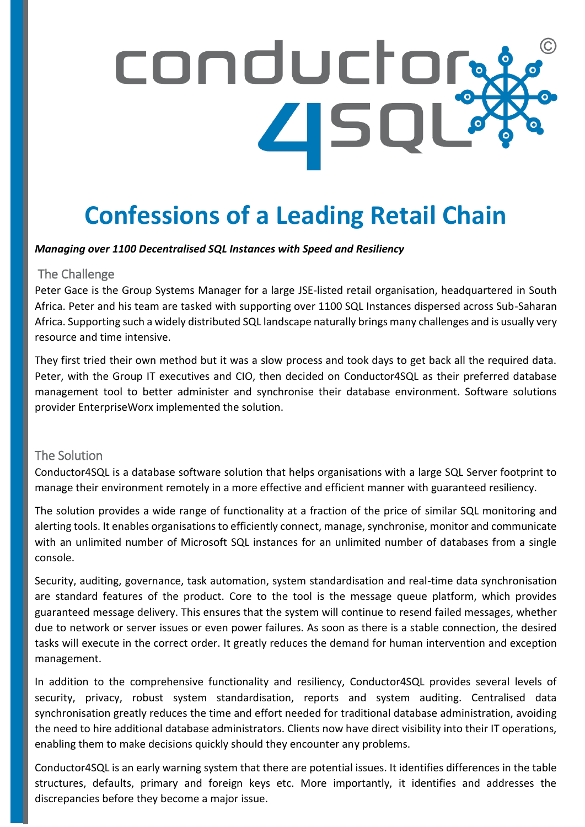# conductor: **ASQL**

# **Confessions of a Leading Retail Chain**

#### *Managing over 1100 Decentralised SQL Instances with Speed and Resiliency*

#### The Challenge

Peter Gace is the Group Systems Manager for a large JSE-listed retail organisation, headquartered in South Africa. Peter and his team are tasked with supporting over 1100 SQL Instances dispersed across Sub-Saharan Africa. Supporting such a widely distributed SQL landscape naturally brings many challenges and is usually very resource and time intensive. **Conference** intensive.

They first tried their own method but it was a slow process and took days to get back all the required data. Peter, with the Group IT executives and CIO, then decided on Conductor4SQL as their preferred database management tool to better administer and synchronise their database environment. Software solutions provider EnterpriseWorx implemented the solution.

#### The Solution

Conductor4SQL is a database software solution that helps organisations with a large SQL Server footprint to manage their environment remotely in a more effective and efficient manner with guaranteed resiliency.

The solution provides a wide range of functionality at a fraction of the price of similar SQL monitoring and alerting tools. It enables organisations to efficiently connect, manage, synchronise, monitor and communicate with an unlimited number of Microsoft SQL instances for an unlimited number of databases from a single console.

Security, auditing, governance, task automation, system standardisation and real-time data synchronisation are standard features of the product. Core to the tool is the message queue platform, which provides guaranteed message delivery. This ensures that the system will continue to resend failed messages, whether due to network or server issues or even power failures. As soon as there is a stable connection, the desired tasks will execute in the correct order. It greatly reduces the demand for human intervention and exception management.

In addition to the comprehensive functionality and resiliency, Conductor4SQL provides several levels of security, privacy, robust system standardisation, reports and system auditing. Centralised data synchronisation greatly reduces the time and effort needed for traditional database administration, avoiding the need to hire additional database administrators. Clients now have direct visibility into their IT operations, enabling them to make decisions quickly should they encounter any problems.

Conductor4SQL is an early warning system that there are potential issues. It identifies differences in the table structures, defaults, primary and foreign keys etc. More importantly, it identifies and addresses the discrepancies before they become a major issue.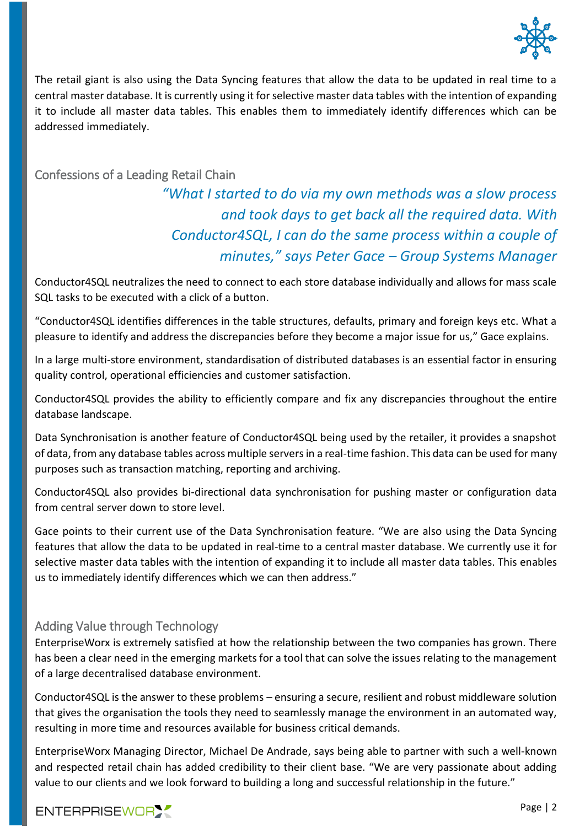

The retail giant is also using the Data Syncing features that allow the data to be updated in real time to a central master database. It is currently using it for selective master data tables with the intention of expanding it to include all master data tables. This enables them to immediately identify differences which can be addressed immediately.

#### Confessions of a Leading Retail Chain

## *"What I started to do via my own methods was a slow process and took days to get back all the required data. With Conductor4SQL, I can do the same process within a couple of minutes," says Peter Gace – Group Systems Manager*

Conductor4SQL neutralizes the need to connect to each store database individually and allows for mass scale SQL tasks to be executed with a click of a button.

"Conductor4SQL identifies differences in the table structures, defaults, primary and foreign keys etc. What a pleasure to identify and address the discrepancies before they become a major issue for us," Gace explains.

In a large multi-store environment, standardisation of distributed databases is an essential factor in ensuring quality control, operational efficiencies and customer satisfaction.

Conductor4SQL provides the ability to efficiently compare and fix any discrepancies throughout the entire database landscape.

Data Synchronisation is another feature of Conductor4SQL being used by the retailer, it provides a snapshot of data, from any database tables across multiple servers in a real-time fashion. This data can be used for many purposes such as transaction matching, reporting and archiving.

Conductor4SQL also provides bi-directional data synchronisation for pushing master or configuration data from central server down to store level.

Gace points to their current use of the Data Synchronisation feature. "We are also using the Data Syncing features that allow the data to be updated in real-time to a central master database. We currently use it for selective master data tables with the intention of expanding it to include all master data tables. This enables us to immediately identify differences which we can then address."

#### Adding Value through Technology

EnterpriseWorx is extremely satisfied at how the relationship between the two companies has grown. There has been a clear need in the emerging markets for a tool that can solve the issues relating to the management of a large decentralised database environment.

Conductor4SQL is the answer to these problems – ensuring a secure, resilient and robust middleware solution that gives the organisation the tools they need to seamlessly manage the environment in an automated way, resulting in more time and resources available for business critical demands.

EnterpriseWorx Managing Director, Michael De Andrade, says being able to partner with such a well-known and respected retail chain has added credibility to their client base. "We are very passionate about adding value to our clients and we look forward to building a long and successful relationship in the future."

#### ENTERPRISEWORY